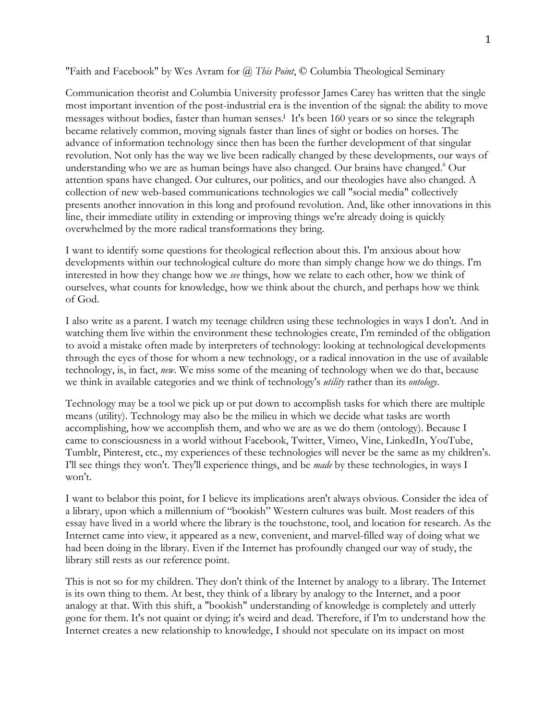"Faith and Facebook" by Wes Avram for *@ This Point*, © Columbia Theological Seminary

Communication theorist and Columbia University professor James Carey has written that the single most important invention of the post-industrial era is the invention of the signal: the ability to move messages without bodies, faster than human senses.<sup>i</sup> It's been 160 years or so since the telegraph became relatively common, moving signals faster than lines of sight or bodies on horses. The advance of information technology since then has been the further development of that singular revolution. Not only has the way we live been radically changed by these developments, our ways of understanding who we are as human beings have also changed. Our brains have changed.<sup>"</sup> Our attention spans have changed. Our cultures, our politics, and our theologies have also changed. A collection of new web-based communications technologies we call "social media" collectively presents another innovation in this long and profound revolution. And, like other innovations in this line, their immediate utility in extending or improving things we're already doing is quickly overwhelmed by the more radical transformations they bring.

I want to identify some questions for theological reflection about this. I'm anxious about how developments within our technological culture do more than simply change how we do things. I'm interested in how they change how we *see* things, how we relate to each other, how we think of ourselves, what counts for knowledge, how we think about the church, and perhaps how we think of God.

I also write as a parent. I watch my teenage children using these technologies in ways I don't. And in watching them live within the environment these technologies create, I'm reminded of the obligation to avoid a mistake often made by interpreters of technology: looking at technological developments through the eyes of those for whom a new technology, or a radical innovation in the use of available technology, is, in fact, *new*. We miss some of the meaning of technology when we do that, because we think in available categories and we think of technology's *utility* rather than its *ontology*.

Technology may be a tool we pick up or put down to accomplish tasks for which there are multiple means (utility). Technology may also be the milieu in which we decide what tasks are worth accomplishing, how we accomplish them, and who we are as we do them (ontology). Because I came to consciousness in a world without Facebook, Twitter, Vimeo, Vine, LinkedIn, YouTube, Tumblr, Pinterest, etc., my experiences of these technologies will never be the same as my children's. I'll see things they won't. They'll experience things, and be *made* by these technologies, in ways I won't.

I want to belabor this point, for I believe its implications aren't always obvious. Consider the idea of a library, upon which a millennium of "bookish" Western cultures was built. Most readers of this essay have lived in a world where the library is the touchstone, tool, and location for research. As the Internet came into view, it appeared as a new, convenient, and marvel-filled way of doing what we had been doing in the library. Even if the Internet has profoundly changed our way of study, the library still rests as our reference point.

This is not so for my children. They don't think of the Internet by analogy to a library. The Internet is its own thing to them. At best, they think of a library by analogy to the Internet, and a poor analogy at that. With this shift, a "bookish" understanding of knowledge is completely and utterly gone for them. It's not quaint or dying; it's weird and dead. Therefore, if I'm to understand how the Internet creates a new relationship to knowledge, I should not speculate on its impact on most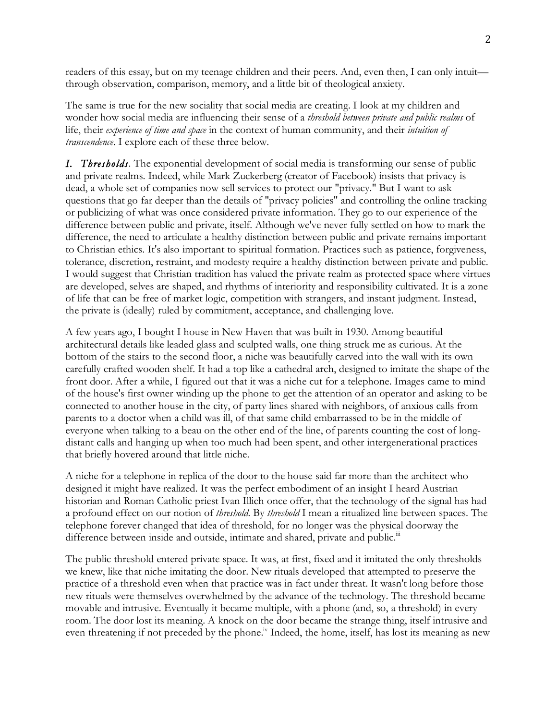readers of this essay, but on my teenage children and their peers. And, even then, I can only intuit through observation, comparison, memory, and a little bit of theological anxiety.

The same is true for the new sociality that social media are creating. I look at my children and wonder how social media are influencing their sense of a *threshold between private and public realms* of life, their *experience of time and space* in the context of human community, and their *intuition of transcendence*. I explore each of these three below.

*I. Thresholds*. The exponential development of social media is transforming our sense of public and private realms. Indeed, while Mark Zuckerberg (creator of Facebook) insists that privacy is dead, a whole set of companies now sell services to protect our "privacy." But I want to ask questions that go far deeper than the details of "privacy policies" and controlling the online tracking or publicizing of what was once considered private information. They go to our experience of the difference between public and private, itself. Although we've never fully settled on how to mark the difference, the need to articulate a healthy distinction between public and private remains important to Christian ethics. It's also important to spiritual formation. Practices such as patience, forgiveness, tolerance, discretion, restraint, and modesty require a healthy distinction between private and public. I would suggest that Christian tradition has valued the private realm as protected space where virtues are developed, selves are shaped, and rhythms of interiority and responsibility cultivated. It is a zone of life that can be free of market logic, competition with strangers, and instant judgment. Instead, the private is (ideally) ruled by commitment, acceptance, and challenging love.

A few years ago, I bought I house in New Haven that was built in 1930. Among beautiful architectural details like leaded glass and sculpted walls, one thing struck me as curious. At the bottom of the stairs to the second floor, a niche was beautifully carved into the wall with its own carefully crafted wooden shelf. It had a top like a cathedral arch, designed to imitate the shape of the front door. After a while, I figured out that it was a niche cut for a telephone. Images came to mind of the house's first owner winding up the phone to get the attention of an operator and asking to be connected to another house in the city, of party lines shared with neighbors, of anxious calls from parents to a doctor when a child was ill, of that same child embarrassed to be in the middle of everyone when talking to a beau on the other end of the line, of parents counting the cost of longdistant calls and hanging up when too much had been spent, and other intergenerational practices that briefly hovered around that little niche.

A niche for a telephone in replica of the door to the house said far more than the architect who designed it might have realized. It was the perfect embodiment of an insight I heard Austrian historian and Roman Catholic priest Ivan Illich once offer, that the technology of the signal has had a profound effect on our notion of *threshold.* By *threshold* I mean a ritualized line between spaces. The telephone forever changed that idea of threshold, for no longer was the physical doorway the difference between inside and outside, intimate and shared, private and public.<sup>iii</sup>

The public threshold entered private space. It was, at first, fixed and it imitated the only thresholds we knew, like that niche imitating the door. New rituals developed that attempted to preserve the practice of a threshold even when that practice was in fact under threat. It wasn't long before those new rituals were themselves overwhelmed by the advance of the technology. The threshold became movable and intrusive. Eventually it became multiple, with a phone (and, so, a threshold) in every room. The door lost its meaning. A knock on the door became the strange thing, itself intrusive and even threatening if not preceded by the phone.<sup>iv</sup> Indeed, the home, itself, has lost its meaning as new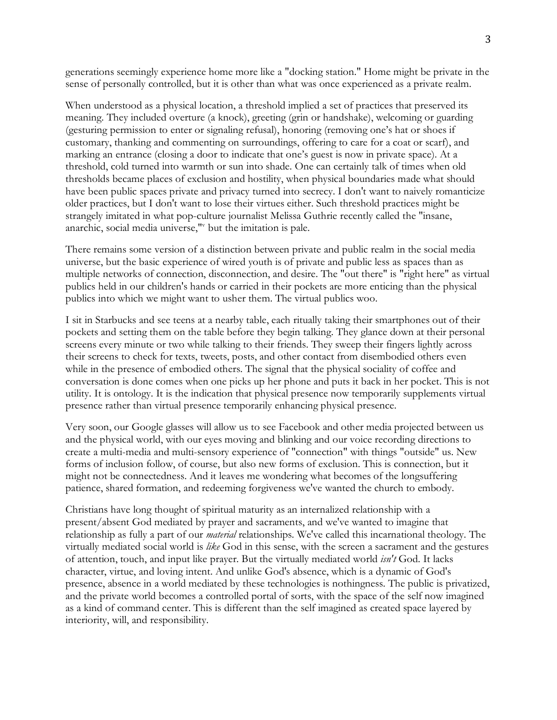generations seemingly experience home more like a "docking station." Home might be private in the sense of personally controlled, but it is other than what was once experienced as a private realm.

When understood as a physical location, a threshold implied a set of practices that preserved its meaning. They included overture (a knock), greeting (grin or handshake), welcoming or guarding (gesturing permission to enter or signaling refusal), honoring (removing one's hat or shoes if customary, thanking and commenting on surroundings, offering to care for a coat or scarf), and marking an entrance (closing a door to indicate that one's guest is now in private space). At a threshold, cold turned into warmth or sun into shade. One can certainly talk of times when old thresholds became places of exclusion and hostility, when physical boundaries made what should have been public spaces private and privacy turned into secrecy. I don't want to naively romanticize older practices, but I don't want to lose their virtues either. Such threshold practices might be strangely imitated in what pop-culture journalist Melissa Guthrie recently called the "insane, anarchic, social media universe," but the imitation is pale.

There remains some version of a distinction between private and public realm in the social media universe, but the basic experience of wired youth is of private and public less as spaces than as multiple networks of connection, disconnection, and desire. The "out there" is "right here" as virtual publics held in our children's hands or carried in their pockets are more enticing than the physical publics into which we might want to usher them. The virtual publics woo.

I sit in Starbucks and see teens at a nearby table, each ritually taking their smartphones out of their pockets and setting them on the table before they begin talking. They glance down at their personal screens every minute or two while talking to their friends. They sweep their fingers lightly across their screens to check for texts, tweets, posts, and other contact from disembodied others even while in the presence of embodied others. The signal that the physical sociality of coffee and conversation is done comes when one picks up her phone and puts it back in her pocket. This is not utility. It is ontology. It is the indication that physical presence now temporarily supplements virtual presence rather than virtual presence temporarily enhancing physical presence.

Very soon, our Google glasses will allow us to see Facebook and other media projected between us and the physical world, with our eyes moving and blinking and our voice recording directions to create a multi-media and multi-sensory experience of "connection" with things "outside" us. New forms of inclusion follow, of course, but also new forms of exclusion. This is connection, but it might not be connectedness. And it leaves me wondering what becomes of the longsuffering patience, shared formation, and redeeming forgiveness we've wanted the church to embody.

Christians have long thought of spiritual maturity as an internalized relationship with a present/absent God mediated by prayer and sacraments, and we've wanted to imagine that relationship as fully a part of our *material* relationships. We've called this incarnational theology. The virtually mediated social world is *like* God in this sense, with the screen a sacrament and the gestures of attention, touch, and input like prayer. But the virtually mediated world *isn't* God. It lacks character, virtue, and loving intent. And unlike God's absence, which is a dynamic of God's presence, absence in a world mediated by these technologies is nothingness. The public is privatized, and the private world becomes a controlled portal of sorts, with the space of the self now imagined as a kind of command center. This is different than the self imagined as created space layered by interiority, will, and responsibility.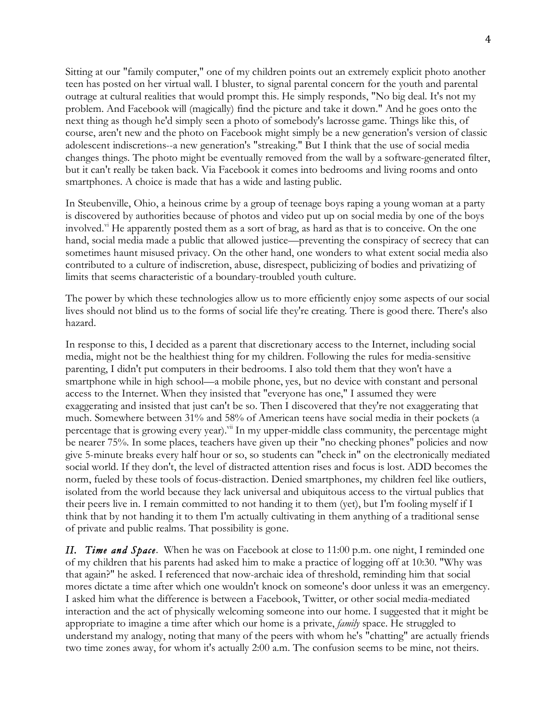Sitting at our "family computer," one of my children points out an extremely explicit photo another teen has posted on her virtual wall. I bluster, to signal parental concern for the youth and parental outrage at cultural realities that would prompt this. He simply responds, "No big deal. It's not my problem. And Facebook will (magically) find the picture and take it down." And he goes onto the next thing as though he'd simply seen a photo of somebody's lacrosse game. Things like this, of course, aren't new and the photo on Facebook might simply be a new generation's version of classic adolescent indiscretions--a new generation's "streaking." But I think that the use of social media changes things. The photo might be eventually removed from the wall by a software-generated filter, but it can't really be taken back. Via Facebook it comes into bedrooms and living rooms and onto smartphones. A choice is made that has a wide and lasting public.

In Steubenville, Ohio, a heinous crime by a group of teenage boys raping a young woman at a party is discovered by authorities because of photos and video put up on social media by one of the boys involved.<sup>vi</sup> He apparently posted them as a sort of brag, as hard as that is to conceive. On the one hand, social media made a public that allowed justice—preventing the conspiracy of secrecy that can sometimes haunt misused privacy. On the other hand, one wonders to what extent social media also contributed to a culture of indiscretion, abuse, disrespect, publicizing of bodies and privatizing of limits that seems characteristic of a boundary-troubled youth culture.

The power by which these technologies allow us to more efficiently enjoy some aspects of our social lives should not blind us to the forms of social life they're creating. There is good there. There's also hazard.

In response to this, I decided as a parent that discretionary access to the Internet, including social media, might not be the healthiest thing for my children. Following the rules for media-sensitive parenting, I didn't put computers in their bedrooms. I also told them that they won't have a smartphone while in high school—a mobile phone, yes, but no device with constant and personal access to the Internet. When they insisted that "everyone has one," I assumed they were exaggerating and insisted that just can't be so. Then I discovered that they're not exaggerating that much. Somewhere between 31% and 58% of American teens have social media in their pockets (a percentage that is growing every year).<sup>vii</sup> In my upper-middle class community, the percentage might be nearer 75%. In some places, teachers have given up their "no checking phones" policies and now give 5-minute breaks every half hour or so, so students can "check in" on the electronically mediated social world. If they don't, the level of distracted attention rises and focus is lost. ADD becomes the norm, fueled by these tools of focus-distraction. Denied smartphones, my children feel like outliers, isolated from the world because they lack universal and ubiquitous access to the virtual publics that their peers live in. I remain committed to not handing it to them (yet), but I'm fooling myself if I think that by not handing it to them I'm actually cultivating in them anything of a traditional sense of private and public realms. That possibility is gone.

*II. Time and Space*. When he was on Facebook at close to 11:00 p.m. one night, I reminded one of my children that his parents had asked him to make a practice of logging off at 10:30. "Why was that again?" he asked. I referenced that now-archaic idea of threshold, reminding him that social mores dictate a time after which one wouldn't knock on someone's door unless it was an emergency. I asked him what the difference is between a Facebook, Twitter, or other social media-mediated interaction and the act of physically welcoming someone into our home. I suggested that it might be appropriate to imagine a time after which our home is a private, *family* space. He struggled to understand my analogy, noting that many of the peers with whom he's "chatting" are actually friends two time zones away, for whom it's actually 2:00 a.m. The confusion seems to be mine, not theirs.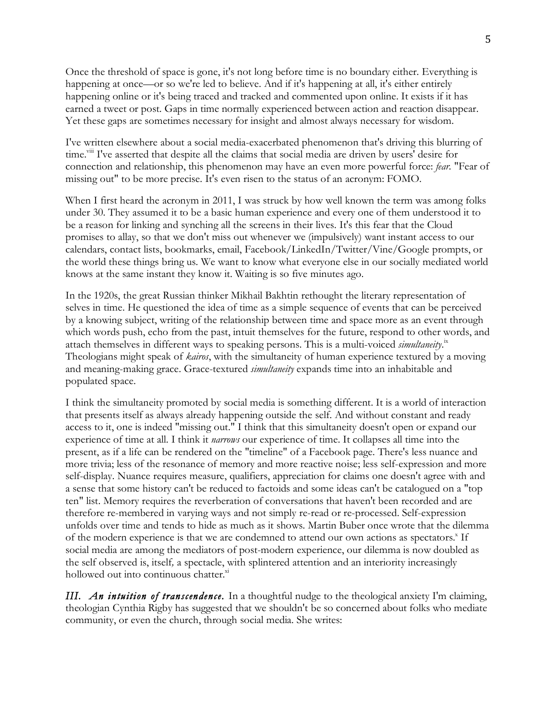Once the threshold of space is gone, it's not long before time is no boundary either. Everything is happening at once—or so we're led to believe. And if it's happening at all, it's either entirely happening online or it's being traced and tracked and commented upon online. It exists if it has earned a tweet or post. Gaps in time normally experienced between action and reaction disappear. Yet these gaps are sometimes necessary for insight and almost always necessary for wisdom.

I've written elsewhere about a social media-exacerbated phenomenon that's driving this blurring of time.<sup>vii</sup> I've asserted that despite all the claims that social media are driven by users' desire for connection and relationship, this phenomenon may have an even more powerful force: *fear.* "Fear of missing out" to be more precise. It's even risen to the status of an acronym: FOMO.

When I first heard the acronym in 2011, I was struck by how well known the term was among folks under 30. They assumed it to be a basic human experience and every one of them understood it to be a reason for linking and synching all the screens in their lives. It's this fear that the Cloud promises to allay, so that we don't miss out whenever we (impulsively) want instant access to our calendars, contact lists, bookmarks, email, Facebook/LinkedIn/Twitter/Vine/Google prompts, or the world these things bring us. We want to know what everyone else in our socially mediated world knows at the same instant they know it. Waiting is so five minutes ago.

In the 1920s, the great Russian thinker Mikhail Bakhtin rethought the literary representation of selves in time. He questioned the idea of time as a simple sequence of events that can be perceived by a knowing subject, writing of the relationship between time and space more as an event through which words push, echo from the past, intuit themselves for the future, respond to other words, and attach themselves in different ways to speaking persons. This is a multi-voiced *simultaneity*.<sup>ix</sup> Theologians might speak of *kairos*, with the simultaneity of human experience textured by a moving and meaning-making grace. Grace-textured *simultaneity* expands time into an inhabitable and populated space.

I think the simultaneity promoted by social media is something different. It is a world of interaction that presents itself as always already happening outside the self. And without constant and ready access to it, one is indeed "missing out." I think that this simultaneity doesn't open or expand our experience of time at all. I think it *narrows* our experience of time. It collapses all time into the present, as if a life can be rendered on the "timeline" of a Facebook page. There's less nuance and more trivia; less of the resonance of memory and more reactive noise; less self-expression and more self-display. Nuance requires measure, qualifiers, appreciation for claims one doesn't agree with and a sense that some history can't be reduced to factoids and some ideas can't be catalogued on a "top ten" list. Memory requires the reverberation of conversations that haven't been recorded and are therefore re-membered in varying ways and not simply re-read or re-processed. Self-expression unfolds over time and tends to hide as much as it shows. Martin Buber once wrote that the dilemma of the modern experience is that we are condemned to attend our own actions as spectators.<sup>x</sup> If social media are among the mediators of post-modern experience, our dilemma is now doubled as the self observed is, itself*,* a spectacle, with splintered attention and an interiority increasingly hollowed out into continuous chatter.<sup>xi</sup>

*III.* An *intuition of transcendence*. In a thoughtful nudge to the theological anxiety I'm claiming, theologian Cynthia Rigby has suggested that we shouldn't be so concerned about folks who mediate community, or even the church, through social media. She writes: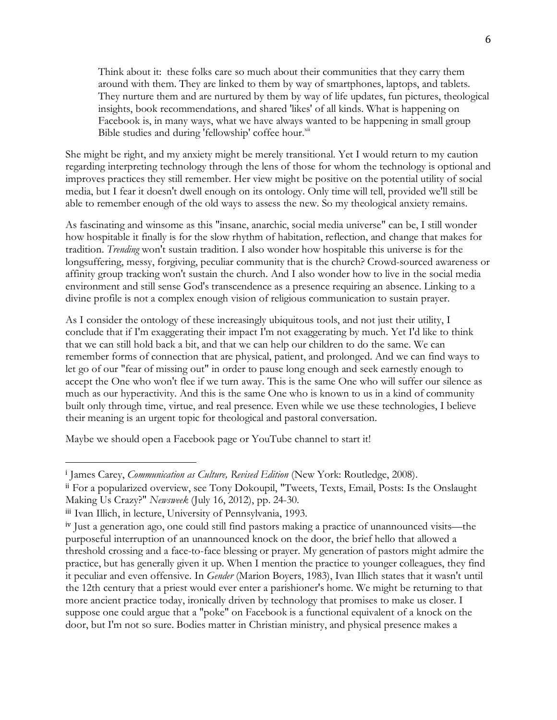Think about it: these folks care so much about their communities that they carry them around with them. They are linked to them by way of smartphones, laptops, and tablets. They nurture them and are nurtured by them by way of life updates, fun pictures, theological insights, book recommendations, and shared 'likes' of all kinds. What is happening on Facebook is, in many ways, what we have always wanted to be happening in small group Bible studies and during 'fellowship' coffee hour.<sup>xii</sup>

She might be right, and my anxiety might be merely transitional. Yet I would return to my caution regarding interpreting technology through the lens of those for whom the technology is optional and improves practices they still remember. Her view might be positive on the potential utility of social media, but I fear it doesn't dwell enough on its ontology. Only time will tell, provided we'll still be able to remember enough of the old ways to assess the new. So my theological anxiety remains.

As fascinating and winsome as this "insane, anarchic, social media universe" can be, I still wonder how hospitable it finally is for the slow rhythm of habitation, reflection, and change that makes for tradition. *Trending* won't sustain tradition. I also wonder how hospitable this universe is for the longsuffering, messy, forgiving, peculiar community that is the church? Crowd-sourced awareness or affinity group tracking won't sustain the church. And I also wonder how to live in the social media environment and still sense God's transcendence as a presence requiring an absence. Linking to a divine profile is not a complex enough vision of religious communication to sustain prayer.

As I consider the ontology of these increasingly ubiquitous tools, and not just their utility, I conclude that if I'm exaggerating their impact I'm not exaggerating by much. Yet I'd like to think that we can still hold back a bit, and that we can help our children to do the same. We can remember forms of connection that are physical, patient, and prolonged. And we can find ways to let go of our "fear of missing out" in order to pause long enough and seek earnestly enough to accept the One who won't flee if we turn away. This is the same One who will suffer our silence as much as our hyperactivity. And this is the same One who is known to us in a kind of community built only through time, virtue, and real presence. Even while we use these technologies, I believe their meaning is an urgent topic for theological and pastoral conversation.

Maybe we should open a Facebook page or YouTube channel to start it!

!!!!!!!!!!!!!!!!!!!!!!!!!!!!!!!!!!!!!!!!!!!!!!!!!!!!!!!

<sup>&</sup>lt;sup>i</sup> James Carey, *Communication as Culture, Revised Edition* (New York: Routledge, 2008).

ii For a popularized overview, see Tony Dokoupil, "Tweets, Texts, Email, Posts: Is the Onslaught Making Us Crazy?" *Newsweek* (July 16, 2012), pp. 24-30.

iii Ivan Illich, in lecture, University of Pennsylvania, 1993.

iv Just a generation ago, one could still find pastors making a practice of unannounced visits—the purposeful interruption of an unannounced knock on the door, the brief hello that allowed a threshold crossing and a face-to-face blessing or prayer. My generation of pastors might admire the practice, but has generally given it up. When I mention the practice to younger colleagues, they find it peculiar and even offensive. In *Gender* (Marion Boyers, 1983), Ivan Illich states that it wasn't until the 12th century that a priest would ever enter a parishioner's home. We might be returning to that more ancient practice today, ironically driven by technology that promises to make us closer. I suppose one could argue that a "poke" on Facebook is a functional equivalent of a knock on the door, but I'm not so sure. Bodies matter in Christian ministry, and physical presence makes a